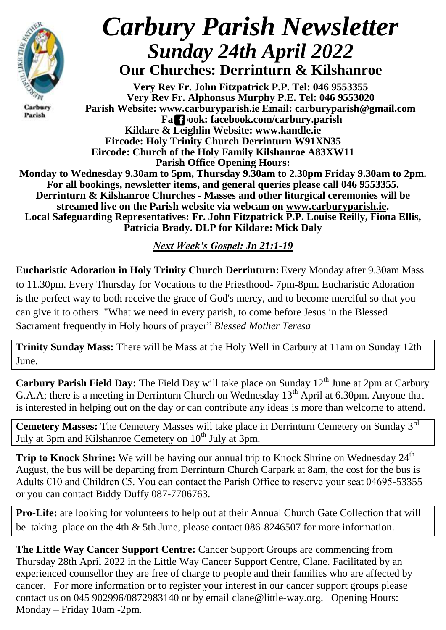

Carbury Parish

## *Carbury Parish Newsletter Sunday 24th April 2022* **Our Churches: Derrinturn & Kilshanroe**

**Very Rev Fr. John Fitzpatrick P.P. Tel: 046 9553355 Very Rev Fr. Alphonsus Murphy P.E. Tel: 046 9553020 Parish Website: www.carburyparish.ie Email: carburyparish@gmail.com Facebook: facebook.com/carbury.parish Kildare & Leighlin Website: www.kandle.ie Eircode: Holy Trinity Church Derrinturn W91XN35 Eircode: Church of the Holy Family Kilshanroe A83XW11 Parish Office Opening Hours: Monday to Wednesday 9.30am to 5pm, Thursday 9.30am to 2.30pm Friday 9.30am to 2pm. For all bookings, newsletter items, and general queries please call 046 9553355. Derrinturn & Kilshanroe Churches - Masses and other liturgical ceremonies will be streamed live on the Parish website via webcam on [www.carburyparish.ie.](http://www.carburyparish.ie/) Local Safeguarding Representatives: Fr. John Fitzpatrick P.P. Louise Reilly, Fiona Ellis, Patricia Brady. DLP for Kildare: Mick Daly**

*Next Week's Gospel: Jn 21:1-19*

**Eucharistic Adoration in Holy Trinity Church Derrinturn:** Every Monday after 9.30am Mass to 11.30pm. Every Thursday for Vocations to the Priesthood- 7pm-8pm. Eucharistic Adoration is the perfect way to both receive the grace of God's mercy, and to become merciful so that you can give it to others. "What we need in every parish, to come before Jesus in the Blessed Sacrament frequently in Holy hours of prayer" *Blessed Mother Teresa*

**Trinity Sunday Mass:** There will be Mass at the Holy Well in Carbury at 11am on Sunday 12th June.

**Carbury Parish Field Day:** The Field Day will take place on Sunday 12<sup>th</sup> June at 2pm at Carbury G.A.A; there is a meeting in Derrinturn Church on Wednesday  $13<sup>th</sup>$  April at 6.30pm. Anyone that is interested in helping out on the day or can contribute any ideas is more than welcome to attend.

**Cemetery Masses:** The Cemetery Masses will take place in Derrinturn Cemetery on Sunday 3rd July at 3pm and Kilshanroe Cemetery on  $10<sup>th</sup>$  July at 3pm.

**Trip to Knock Shrine:** We will be having our annual trip to Knock Shrine on Wednesday 24<sup>th</sup> August, the bus will be departing from Derrinturn Church Carpark at 8am, the cost for the bus is Adults €10 and Children €5. You can contact the Parish Office to reserve your seat 04695-53355 or you can contact Biddy Duffy 087-7706763.

**Pro-Life:** are looking for volunteers to help out at their Annual Church Gate Collection that will be taking place on the 4th & 5th June, please contact 086-8246507 for more information.

**The Little Way Cancer Support Centre:** Cancer Support Groups are commencing from Thursday 28th April 2022 in the Little Way Cancer Support Centre, Clane. Facilitated by an experienced counsellor they are free of charge to people and their families who are affected by cancer. For more information or to register your interest in our cancer support groups please contact us on 045 902996/0872983140 or by email [clane@little-way.org.](mailto:clane@little-way.org) Opening Hours: Monday – Friday 10am -2pm.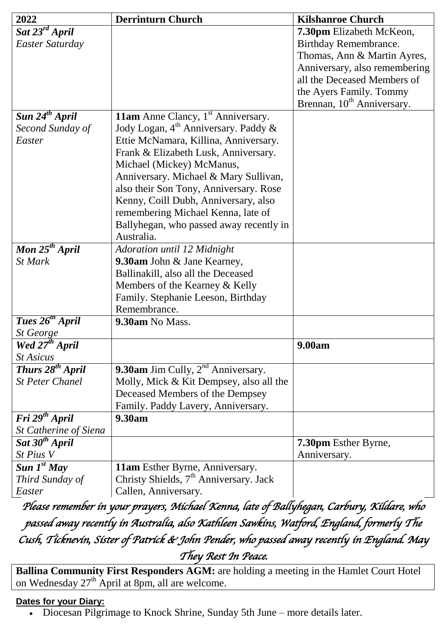| 2022                         | <b>Derrinturn Church</b>                           | <b>Kilshanroe Church</b>               |
|------------------------------|----------------------------------------------------|----------------------------------------|
| Sat 23 <sup>rd</sup> April   |                                                    | 7.30pm Elizabeth McKeon,               |
| Easter Saturday              |                                                    | Birthday Remembrance.                  |
|                              |                                                    | Thomas, Ann & Martin Ayres,            |
|                              |                                                    | Anniversary, also remembering          |
|                              |                                                    | all the Deceased Members of            |
|                              |                                                    | the Ayers Family. Tommy                |
|                              |                                                    | Brennan, 10 <sup>th</sup> Anniversary. |
| Sun $24th$ April             | <b>11am</b> Anne Clancy, $1st$ Anniversary.        |                                        |
| Second Sunday of             | Jody Logan, $4th$ Anniversary. Paddy &             |                                        |
| Easter                       | Ettie McNamara, Killina, Anniversary.              |                                        |
|                              | Frank & Elizabeth Lusk, Anniversary.               |                                        |
|                              | Michael (Mickey) McManus,                          |                                        |
|                              | Anniversary. Michael & Mary Sullivan,              |                                        |
|                              | also their Son Tony, Anniversary. Rose             |                                        |
|                              | Kenny, Coill Dubh, Anniversary, also               |                                        |
|                              | remembering Michael Kenna, late of                 |                                        |
|                              | Ballyhegan, who passed away recently in            |                                        |
|                              | Australia.                                         |                                        |
| Mon $25^{th}$ April          | Adoration until 12 Midnight                        |                                        |
| <b>St Mark</b>               | 9.30am John & Jane Kearney,                        |                                        |
|                              | Ballinakill, also all the Deceased                 |                                        |
|                              | Members of the Kearney & Kelly                     |                                        |
|                              | Family. Stephanie Leeson, Birthday                 |                                        |
|                              | Remembrance.                                       |                                        |
| Tues 26 <sup>th</sup> April  | 9.30am No Mass.                                    |                                        |
| St George                    |                                                    |                                        |
| Wed $27th$ April             |                                                    | 9.00am                                 |
| <i>St Asicus</i>             |                                                    |                                        |
| Thurs 28 <sup>th</sup> April | <b>9.30am</b> Jim Cully, $2^{nd}$ Anniversary.     |                                        |
| <b>St Peter Chanel</b>       | Molly, Mick & Kit Dempsey, also all the            |                                        |
|                              | Deceased Members of the Dempsey                    |                                        |
|                              | Family. Paddy Lavery, Anniversary.                 |                                        |
| Fri 29 <sup>th</sup> April   | 9.30am                                             |                                        |
| St Catherine of Siena        |                                                    |                                        |
| Sat 30 <sup>th</sup> April   |                                                    | 7.30pm Esther Byrne,                   |
| St Pius V                    |                                                    | Anniversary.                           |
| Sun $I^{st}$ May             | 11am Esther Byrne, Anniversary.                    |                                        |
| Third Sunday of              | Christy Shields, 7 <sup>th</sup> Anniversary. Jack |                                        |
| Easter                       | Callen, Anniversary.                               |                                        |

*Please remember in your prayers, Michael Kenna, late of Ballyhegan, Carbury, Kildare, who passed away recently in Australia, also Kathleen Sawkins, Watford, England, formerly The Cush, Ticknevin, Sister of Patrick & John Pender, who passed away recently in England. May They Rest In Peace.* 

**Ballina Community First Responders AGM:** are holding a meeting in the Hamlet Court Hotel on Wednesday 27<sup>th</sup> April at 8pm, all are welcome.

## **Dates for your Diary:**

Diocesan Pilgrimage to Knock Shrine, Sunday 5th June – more details later.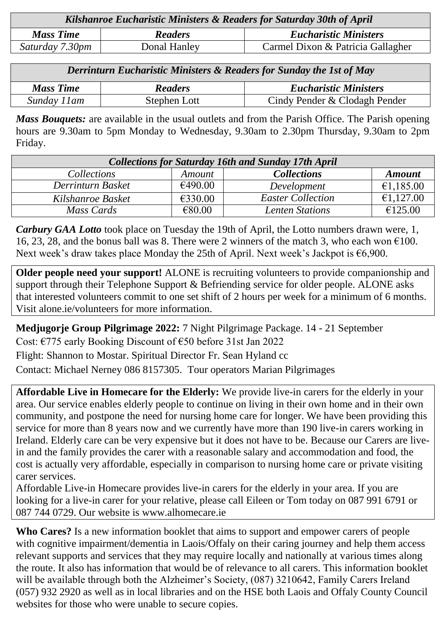| Kilshanroe Eucharistic Ministers & Readers for Saturday 30th of April |                |                                   |  |  |
|-----------------------------------------------------------------------|----------------|-----------------------------------|--|--|
| <b>Mass Time</b>                                                      | <b>Readers</b> | <b>Eucharistic Ministers</b>      |  |  |
| Saturday 7.30pm                                                       | Donal Hanley   | Carmel Dixon & Patricia Gallagher |  |  |
|                                                                       |                |                                   |  |  |

*Derrinturn Eucharistic Ministers & Readers for Sunday the 1st of May*

| <b>Mass Time</b> | <b>Readers</b> | <b>Eucharistic Ministers</b>  |
|------------------|----------------|-------------------------------|
| Sunday 11 am     | Stephen Lott   | Cindy Pender & Clodagh Pender |

*Mass Bouquets:* are available in the usual outlets and from the Parish Office. The Parish opening hours are 9.30am to 5pm Monday to Wednesday, 9.30am to 2.30pm Thursday, 9.30am to 2pm Friday.

| <b>Collections for Saturday 16th and Sunday 17th April</b> |         |                          |               |  |  |
|------------------------------------------------------------|---------|--------------------------|---------------|--|--|
| <i>Collections</i>                                         | Amount  | <b>Collections</b>       | <b>Amount</b> |  |  |
| Derrinturn Basket                                          | €490.00 | Development              | €1,185.00     |  |  |
| Kilshanroe Basket                                          | €330.00 | <b>Easter Collection</b> | €1,127.00     |  |  |
| Mass Cards                                                 | €80.00  | <b>Lenten Stations</b>   | €125.00       |  |  |

*Carbury GAA Lotto* took place on Tuesday the 19th of April, the Lotto numbers drawn were, 1, 16, 23, 28, and the bonus ball was 8. There were 2 winners of the match 3, who each won  $\epsilon$ 100. Next week's draw takes place Monday the 25th of April. Next week's Jackpot is €6,900.

**Older people need your support!** ALONE is recruiting volunteers to provide companionship and support through their Telephone Support & Befriending service for older people. ALONE asks that interested volunteers commit to one set shift of 2 hours per week for a minimum of 6 months. Visit [alone.ie/volunteers](http://alone.ie/volunteers) for more information.

**Medjugorje Group Pilgrimage 2022:** 7 Night Pilgrimage Package. 14 - 21 September Cost: €775 early Booking Discount of €50 before 31st Jan 2022 Flight: Shannon to Mostar. Spiritual Director Fr. Sean Hyland cc Contact: Michael Nerney 086 8157305. Tour operators Marian Pilgrimages

**Affordable Live in Homecare for the Elderly:** We provide live-in carers for the elderly in your area. Our service enables elderly people to continue on living in their own home and in their own community, and postpone the need for nursing home care for longer. We have been providing this service for more than 8 years now and we currently have more than 190 live-in carers working in Ireland. Elderly care can be very expensive but it does not have to be. Because our Carers are livein and the family provides the carer with a reasonable salary and accommodation and food, the cost is actually very affordable, especially in comparison to nursing home care or private visiting carer services.

Affordable Live-in Homecare provides live-in carers for the elderly in your area. If you are looking for a live-in carer for your relative, please call Eileen or Tom today on 087 991 6791 or 087 744 0729. Our website is [www.alhomecare.ie](http://www.alhomecare.ie/)

**Who Cares?** Is a new information booklet that aims to support and empower carers of people with cognitive impairment/dementia in Laois/Offaly on their caring journey and help them access relevant supports and services that they may require locally and nationally at various times along the route. It also has information that would be of relevance to all carers. This information booklet will be available through both the Alzheimer's Society, (087) 3210642, Family Carers Ireland (057) 932 2920 as well as in local libraries and on the HSE both Laois and Offaly County Council websites for those who were unable to secure copies.